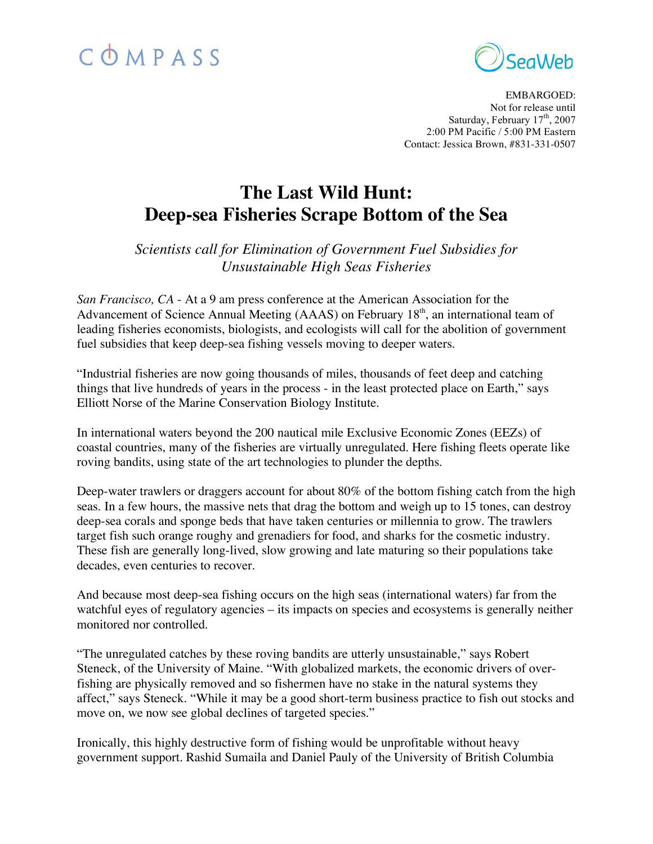# COMPASS



EMBARGOED: Not for release until Saturday, February 17<sup>th</sup>, 2007 2:00 PM Pacific / 5:00 PM Eastern Contact: Jessica Brown, #831-331-0507

# **The Last Wild Hunt: Deep-sea Fisheries Scrape Bottom of the Sea**

*Scientists call for Elimination of Government Fuel Subsidies for Unsustainable High Seas Fisheries*

*San Francisco, CA* - At a 9 am press conference at the American Association for the Advancement of Science Annual Meeting (AAAS) on February 18<sup>th</sup>, an international team of leading fisheries economists, biologists, and ecologists will call for the abolition of government fuel subsidies that keep deep-sea fishing vessels moving to deeper waters.

"Industrial fisheries are now going thousands of miles, thousands of feet deep and catching things that live hundreds of years in the process - in the least protected place on Earth," says Elliott Norse of the Marine Conservation Biology Institute.

In international waters beyond the 200 nautical mile Exclusive Economic Zones (EEZs) of coastal countries, many of the fisheries are virtually unregulated. Here fishing fleets operate like roving bandits, using state of the art technologies to plunder the depths.

Deep-water trawlers or draggers account for about 80% of the bottom fishing catch from the high seas. In a few hours, the massive nets that drag the bottom and weigh up to 15 tones, can destroy deep-sea corals and sponge beds that have taken centuries or millennia to grow. The trawlers target fish such orange roughy and grenadiers for food, and sharks for the cosmetic industry. These fish are generally long-lived, slow growing and late maturing so their populations take decades, even centuries to recover.

And because most deep-sea fishing occurs on the high seas (international waters) far from the watchful eyes of regulatory agencies – its impacts on species and ecosystems is generally neither monitored nor controlled.

"The unregulated catches by these roving bandits are utterly unsustainable," says Robert Steneck, of the University of Maine. "With globalized markets, the economic drivers of overfishing are physically removed and so fishermen have no stake in the natural systems they affect," says Steneck. "While it may be a good short-term business practice to fish out stocks and move on, we now see global declines of targeted species."

Ironically, this highly destructive form of fishing would be unprofitable without heavy government support. Rashid Sumaila and Daniel Pauly of the University of British Columbia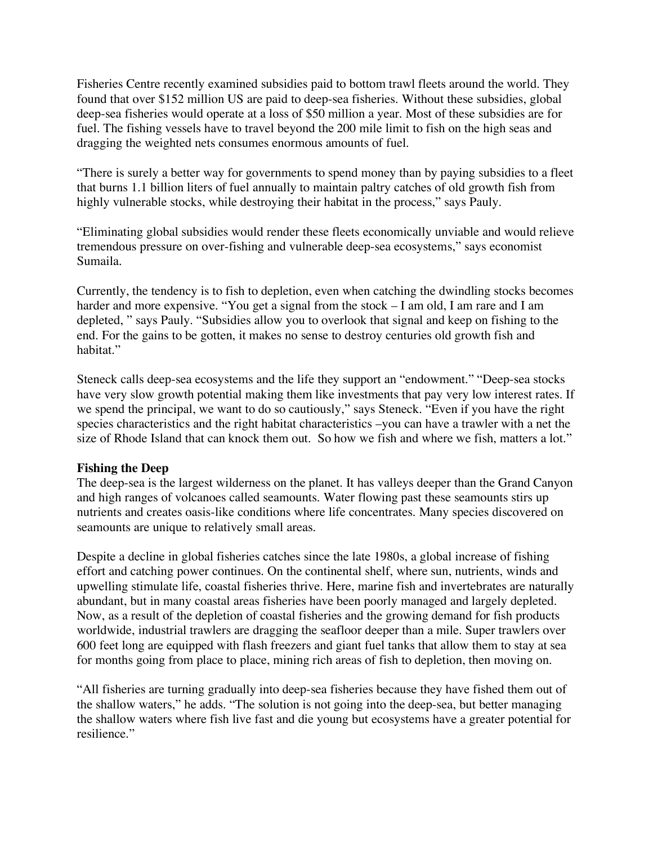Fisheries Centre recently examined subsidies paid to bottom trawl fleets around the world. They found that over \$152 million US are paid to deep-sea fisheries. Without these subsidies, global deep-sea fisheries would operate at a loss of \$50 million a year. Most of these subsidies are for fuel. The fishing vessels have to travel beyond the 200 mile limit to fish on the high seas and dragging the weighted nets consumes enormous amounts of fuel.

"There is surely a better way for governments to spend money than by paying subsidies to a fleet that burns 1.1 billion liters of fuel annually to maintain paltry catches of old growth fish from highly vulnerable stocks, while destroying their habitat in the process," says Pauly.

"Eliminating global subsidies would render these fleets economically unviable and would relieve tremendous pressure on over-fishing and vulnerable deep-sea ecosystems," says economist Sumaila.

Currently, the tendency is to fish to depletion, even when catching the dwindling stocks becomes harder and more expensive. "You get a signal from the stock – I am old, I am rare and I am depleted, " says Pauly. "Subsidies allow you to overlook that signal and keep on fishing to the end. For the gains to be gotten, it makes no sense to destroy centuries old growth fish and habitat."

Steneck calls deep-sea ecosystems and the life they support an "endowment." "Deep-sea stocks have very slow growth potential making them like investments that pay very low interest rates. If we spend the principal, we want to do so cautiously," says Steneck. "Even if you have the right species characteristics and the right habitat characteristics –you can have a trawler with a net the size of Rhode Island that can knock them out. So how we fish and where we fish, matters a lot."

# **Fishing the Deep**

The deep-sea is the largest wilderness on the planet. It has valleys deeper than the Grand Canyon and high ranges of volcanoes called seamounts. Water flowing past these seamounts stirs up nutrients and creates oasis-like conditions where life concentrates. Many species discovered on seamounts are unique to relatively small areas.

Despite a decline in global fisheries catches since the late 1980s, a global increase of fishing effort and catching power continues. On the continental shelf, where sun, nutrients, winds and upwelling stimulate life, coastal fisheries thrive. Here, marine fish and invertebrates are naturally abundant, but in many coastal areas fisheries have been poorly managed and largely depleted. Now, as a result of the depletion of coastal fisheries and the growing demand for fish products worldwide, industrial trawlers are dragging the seafloor deeper than a mile. Super trawlers over 600 feet long are equipped with flash freezers and giant fuel tanks that allow them to stay at sea for months going from place to place, mining rich areas of fish to depletion, then moving on.

"All fisheries are turning gradually into deep-sea fisheries because they have fished them out of the shallow waters," he adds. "The solution is not going into the deep-sea, but better managing the shallow waters where fish live fast and die young but ecosystems have a greater potential for resilience."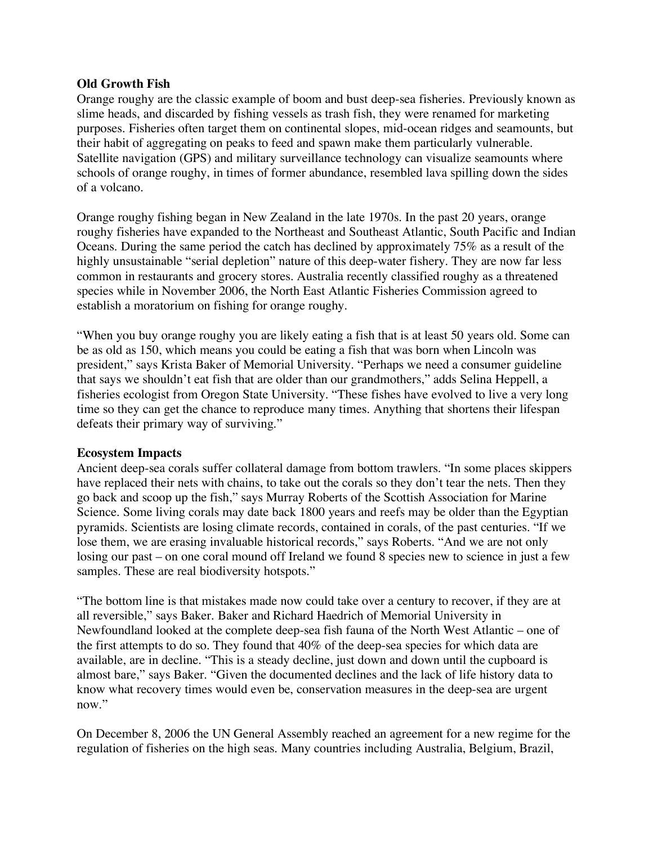### **Old Growth Fish**

Orange roughy are the classic example of boom and bust deep-sea fisheries. Previously known as slime heads, and discarded by fishing vessels as trash fish, they were renamed for marketing purposes. Fisheries often target them on continental slopes, mid-ocean ridges and seamounts, but their habit of aggregating on peaks to feed and spawn make them particularly vulnerable. Satellite navigation (GPS) and military surveillance technology can visualize seamounts where schools of orange roughy, in times of former abundance, resembled lava spilling down the sides of a volcano.

Orange roughy fishing began in New Zealand in the late 1970s. In the past 20 years, orange roughy fisheries have expanded to the Northeast and Southeast Atlantic, South Pacific and Indian Oceans. During the same period the catch has declined by approximately 75% as a result of the highly unsustainable "serial depletion" nature of this deep-water fishery. They are now far less common in restaurants and grocery stores. Australia recently classified roughy as a threatened species while in November 2006, the North East Atlantic Fisheries Commission agreed to establish a moratorium on fishing for orange roughy.

"When you buy orange roughy you are likely eating a fish that is at least 50 years old. Some can be as old as 150, which means you could be eating a fish that was born when Lincoln was president," says Krista Baker of Memorial University. "Perhaps we need a consumer guideline that says we shouldn't eat fish that are older than our grandmothers," adds Selina Heppell, a fisheries ecologist from Oregon State University. "These fishes have evolved to live a very long time so they can get the chance to reproduce many times. Anything that shortens their lifespan defeats their primary way of surviving."

# **Ecosystem Impacts**

Ancient deep-sea corals suffer collateral damage from bottom trawlers. "In some places skippers have replaced their nets with chains, to take out the corals so they don't tear the nets. Then they go back and scoop up the fish," says Murray Roberts of the Scottish Association for Marine Science. Some living corals may date back 1800 years and reefs may be older than the Egyptian pyramids. Scientists are losing climate records, contained in corals, of the past centuries. "If we lose them, we are erasing invaluable historical records," says Roberts. "And we are not only losing our past – on one coral mound off Ireland we found 8 species new to science in just a few samples. These are real biodiversity hotspots."

"The bottom line is that mistakes made now could take over a century to recover, if they are at all reversible," says Baker. Baker and Richard Haedrich of Memorial University in Newfoundland looked at the complete deep-sea fish fauna of the North West Atlantic – one of the first attempts to do so. They found that 40% of the deep-sea species for which data are available, are in decline. "This is a steady decline, just down and down until the cupboard is almost bare," says Baker. "Given the documented declines and the lack of life history data to know what recovery times would even be, conservation measures in the deep-sea are urgent now."

On December 8, 2006 the UN General Assembly reached an agreement for a new regime for the regulation of fisheries on the high seas. Many countries including Australia, Belgium, Brazil,